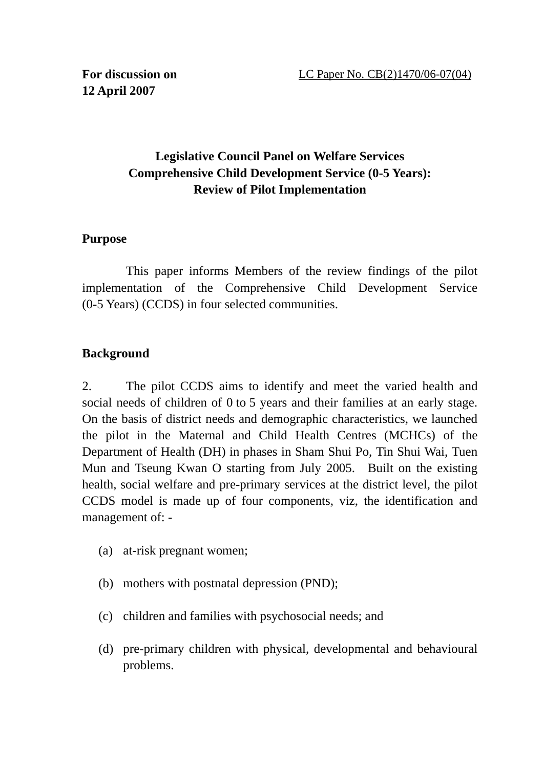## **Legislative Council Panel on Welfare Services Comprehensive Child Development Service (0-5 Years): Review of Pilot Implementation**

### **Purpose**

 This paper informs Members of the review findings of the pilot implementation of the Comprehensive Child Development Service (0-5 Years) (CCDS) in four selected communities.

## **Background**

2. The pilot CCDS aims to identify and meet the varied health and social needs of children of 0 to 5 years and their families at an early stage. On the basis of district needs and demographic characteristics, we launched the pilot in the Maternal and Child Health Centres (MCHCs) of the Department of Health (DH) in phases in Sham Shui Po, Tin Shui Wai, Tuen Mun and Tseung Kwan O starting from July 2005. Built on the existing health, social welfare and pre-primary services at the district level, the pilot CCDS model is made up of four components, viz, the identification and management of: -

- (a) at-risk pregnant women;
- (b) mothers with postnatal depression (PND);
- (c) children and families with psychosocial needs; and
- (d) pre-primary children with physical, developmental and behavioural problems.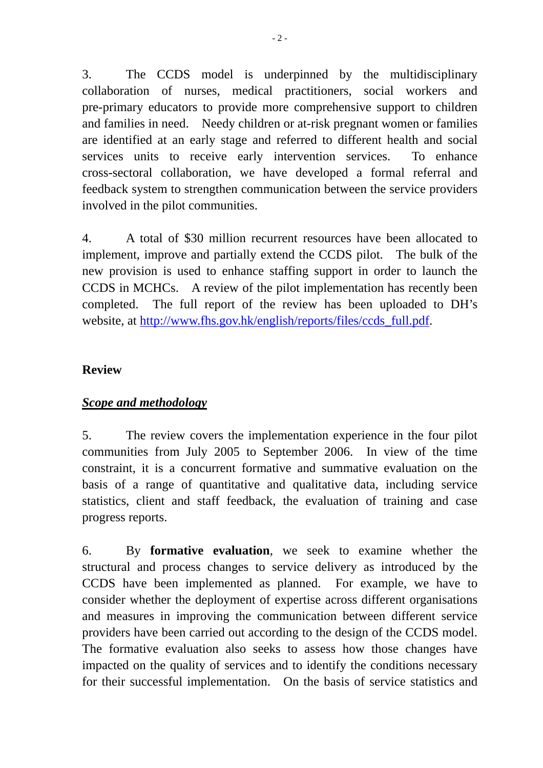3. The CCDS model is underpinned by the multidisciplinary collaboration of nurses, medical practitioners, social workers and pre-primary educators to provide more comprehensive support to children and families in need. Needy children or at-risk pregnant women or families are identified at an early stage and referred to different health and social services units to receive early intervention services. To enhance cross-sectoral collaboration, we have developed a formal referral and feedback system to strengthen communication between the service providers involved in the pilot communities.

4. A total of \$30 million recurrent resources have been allocated to implement, improve and partially extend the CCDS pilot. The bulk of the new provision is used to enhance staffing support in order to launch the CCDS in MCHCs. A review of the pilot implementation has recently been completed. The full report of the review has been uploaded to DH's website, at http://www.fhs.gov.hk/english/reports/files/ccds\_full.pdf.

#### **Review**

## *Scope and methodology*

5. The review covers the implementation experience in the four pilot communities from July 2005 to September 2006. In view of the time constraint, it is a concurrent formative and summative evaluation on the basis of a range of quantitative and qualitative data, including service statistics, client and staff feedback, the evaluation of training and case progress reports.

6. By **formative evaluation**, we seek to examine whether the structural and process changes to service delivery as introduced by the CCDS have been implemented as planned. For example, we have to consider whether the deployment of expertise across different organisations and measures in improving the communication between different service providers have been carried out according to the design of the CCDS model. The formative evaluation also seeks to assess how those changes have impacted on the quality of services and to identify the conditions necessary for their successful implementation. On the basis of service statistics and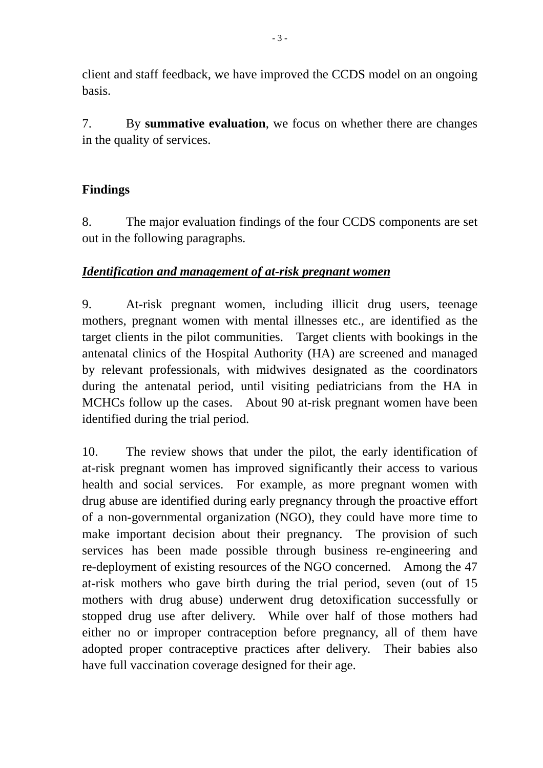client and staff feedback, we have improved the CCDS model on an ongoing basis.

7. By **summative evaluation**, we focus on whether there are changes in the quality of services.

## **Findings**

8. The major evaluation findings of the four CCDS components are set out in the following paragraphs.

## *Identification and management of at-risk pregnant women*

9. At-risk pregnant women, including illicit drug users, teenage mothers, pregnant women with mental illnesses etc., are identified as the target clients in the pilot communities. Target clients with bookings in the antenatal clinics of the Hospital Authority (HA) are screened and managed by relevant professionals, with midwives designated as the coordinators during the antenatal period, until visiting pediatricians from the HA in MCHCs follow up the cases. About 90 at-risk pregnant women have been identified during the trial period.

10. The review shows that under the pilot, the early identification of at-risk pregnant women has improved significantly their access to various health and social services. For example, as more pregnant women with drug abuse are identified during early pregnancy through the proactive effort of a non-governmental organization (NGO), they could have more time to make important decision about their pregnancy. The provision of such services has been made possible through business re-engineering and re-deployment of existing resources of the NGO concerned. Among the 47 at-risk mothers who gave birth during the trial period, seven (out of 15 mothers with drug abuse) underwent drug detoxification successfully or stopped drug use after delivery. While over half of those mothers had either no or improper contraception before pregnancy, all of them have adopted proper contraceptive practices after delivery. Their babies also have full vaccination coverage designed for their age.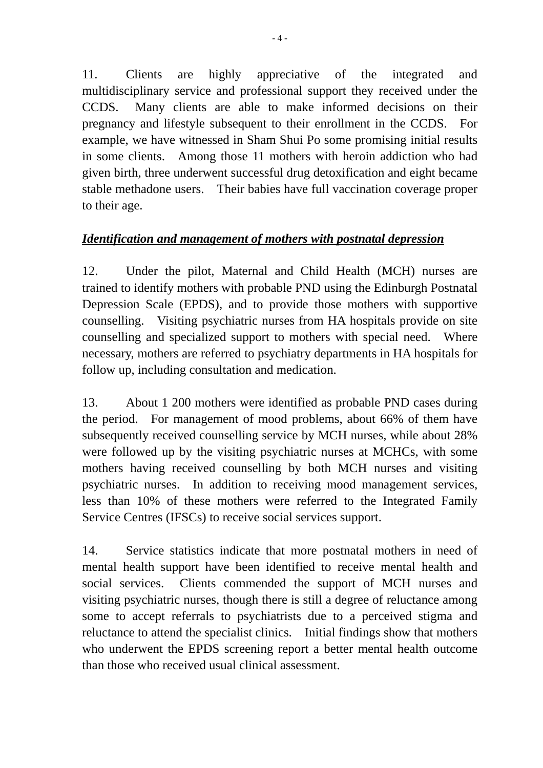11. Clients are highly appreciative of the integrated and multidisciplinary service and professional support they received under the CCDS. Many clients are able to make informed decisions on their pregnancy and lifestyle subsequent to their enrollment in the CCDS. For example, we have witnessed in Sham Shui Po some promising initial results in some clients. Among those 11 mothers with heroin addiction who had given birth, three underwent successful drug detoxification and eight became stable methadone users. Their babies have full vaccination coverage proper to their age.

## *Identification and management of mothers with postnatal depression*

12. Under the pilot, Maternal and Child Health (MCH) nurses are trained to identify mothers with probable PND using the Edinburgh Postnatal Depression Scale (EPDS), and to provide those mothers with supportive counselling. Visiting psychiatric nurses from HA hospitals provide on site counselling and specialized support to mothers with special need. Where necessary, mothers are referred to psychiatry departments in HA hospitals for follow up, including consultation and medication.

13. About 1 200 mothers were identified as probable PND cases during the period. For management of mood problems, about 66% of them have subsequently received counselling service by MCH nurses, while about 28% were followed up by the visiting psychiatric nurses at MCHCs, with some mothers having received counselling by both MCH nurses and visiting psychiatric nurses. In addition to receiving mood management services, less than 10% of these mothers were referred to the Integrated Family Service Centres (IFSCs) to receive social services support.

14. Service statistics indicate that more postnatal mothers in need of mental health support have been identified to receive mental health and social services. Clients commended the support of MCH nurses and visiting psychiatric nurses, though there is still a degree of reluctance among some to accept referrals to psychiatrists due to a perceived stigma and reluctance to attend the specialist clinics. Initial findings show that mothers who underwent the EPDS screening report a better mental health outcome than those who received usual clinical assessment.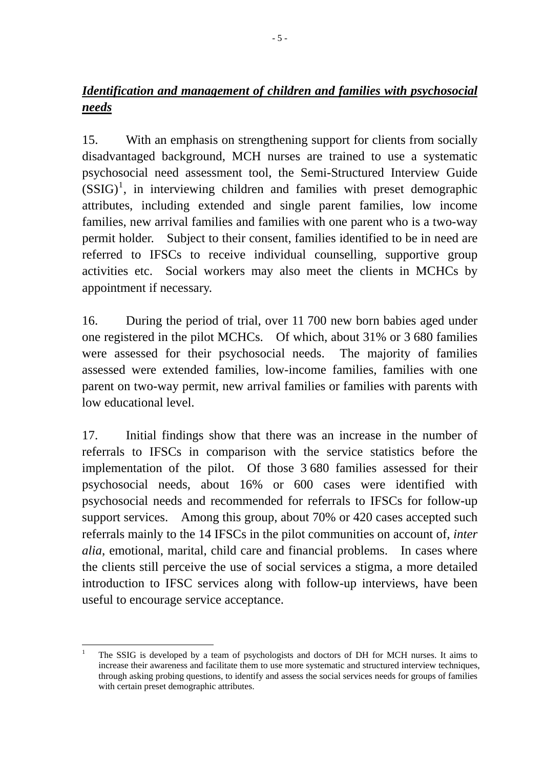# *Identification and management of children and families with psychosocial needs*

15. With an emphasis on strengthening support for clients from socially disadvantaged background, MCH nurses are trained to use a systematic psychosocial need assessment tool, the Semi-Structured Interview Guide  $(SSIG)^1$ , in interviewing children and families with preset demographic attributes, including extended and single parent families, low income families, new arrival families and families with one parent who is a two-way permit holder. Subject to their consent, families identified to be in need are referred to IFSCs to receive individual counselling, supportive group activities etc. Social workers may also meet the clients in MCHCs by appointment if necessary.

16. During the period of trial, over 11 700 new born babies aged under one registered in the pilot MCHCs. Of which, about 31% or 3 680 families were assessed for their psychosocial needs. The majority of families assessed were extended families, low-income families, families with one parent on two-way permit, new arrival families or families with parents with low educational level.

17. Initial findings show that there was an increase in the number of referrals to IFSCs in comparison with the service statistics before the implementation of the pilot. Of those 3 680 families assessed for their psychosocial needs, about 16% or 600 cases were identified with psychosocial needs and recommended for referrals to IFSCs for follow-up support services. Among this group, about 70% or 420 cases accepted such referrals mainly to the 14 IFSCs in the pilot communities on account of, *inter alia*, emotional, marital, child care and financial problems. In cases where the clients still perceive the use of social services a stigma, a more detailed introduction to IFSC services along with follow-up interviews, have been useful to encourage service acceptance.

 $\overline{a}$ 1 The SSIG is developed by a team of psychologists and doctors of DH for MCH nurses. It aims to increase their awareness and facilitate them to use more systematic and structured interview techniques, through asking probing questions, to identify and assess the social services needs for groups of families with certain preset demographic attributes.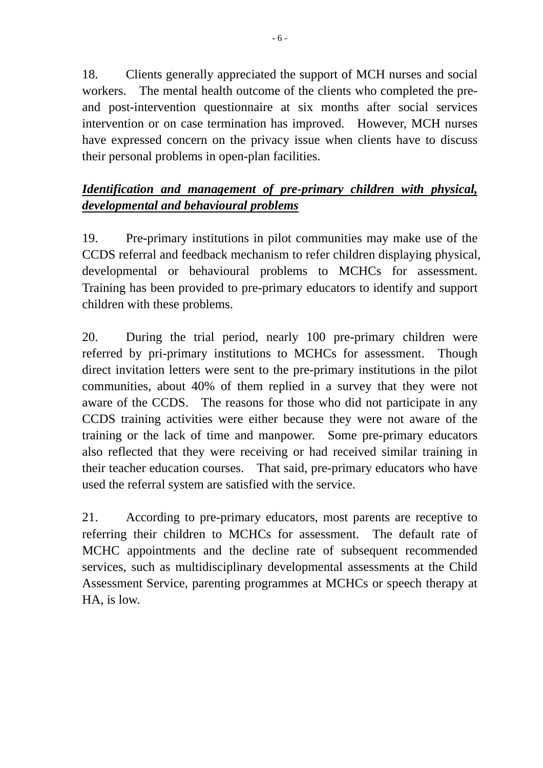18. Clients generally appreciated the support of MCH nurses and social workers. The mental health outcome of the clients who completed the preand post-intervention questionnaire at six months after social services intervention or on case termination has improved. However, MCH nurses have expressed concern on the privacy issue when clients have to discuss their personal problems in open-plan facilities.

# *Identification and management of pre-primary children with physical, developmental and behavioural problems*

19. Pre-primary institutions in pilot communities may make use of the CCDS referral and feedback mechanism to refer children displaying physical, developmental or behavioural problems to MCHCs for assessment. Training has been provided to pre-primary educators to identify and support children with these problems.

20. During the trial period, nearly 100 pre-primary children were referred by pri-primary institutions to MCHCs for assessment. Though direct invitation letters were sent to the pre-primary institutions in the pilot communities, about 40% of them replied in a survey that they were not aware of the CCDS. The reasons for those who did not participate in any CCDS training activities were either because they were not aware of the training or the lack of time and manpower. Some pre-primary educators also reflected that they were receiving or had received similar training in their teacher education courses. That said, pre-primary educators who have used the referral system are satisfied with the service.

21. According to pre-primary educators, most parents are receptive to referring their children to MCHCs for assessment. The default rate of MCHC appointments and the decline rate of subsequent recommended services, such as multidisciplinary developmental assessments at the Child Assessment Service, parenting programmes at MCHCs or speech therapy at HA, is low.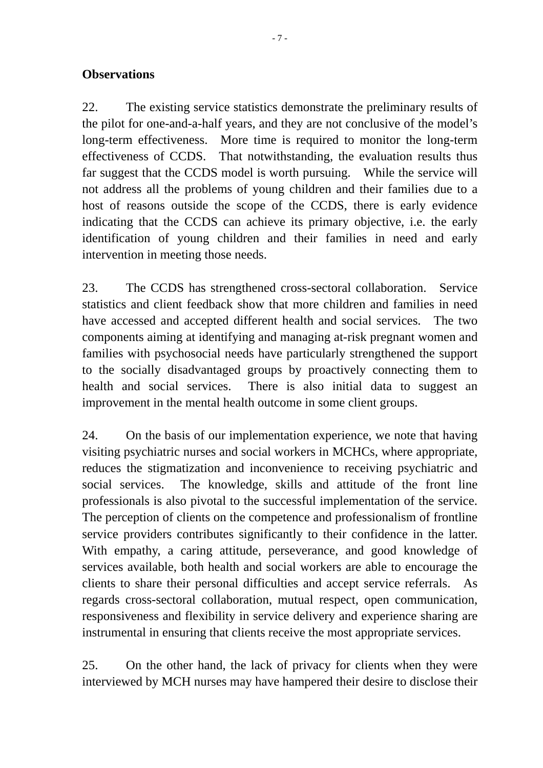### **Observations**

22. The existing service statistics demonstrate the preliminary results of the pilot for one-and-a-half years, and they are not conclusive of the model's long-term effectiveness. More time is required to monitor the long-term effectiveness of CCDS. That notwithstanding, the evaluation results thus far suggest that the CCDS model is worth pursuing. While the service will not address all the problems of young children and their families due to a host of reasons outside the scope of the CCDS, there is early evidence indicating that the CCDS can achieve its primary objective, i.e. the early identification of young children and their families in need and early intervention in meeting those needs.

23. The CCDS has strengthened cross-sectoral collaboration. Service statistics and client feedback show that more children and families in need have accessed and accepted different health and social services. The two components aiming at identifying and managing at-risk pregnant women and families with psychosocial needs have particularly strengthened the support to the socially disadvantaged groups by proactively connecting them to health and social services. There is also initial data to suggest an improvement in the mental health outcome in some client groups.

24. On the basis of our implementation experience, we note that having visiting psychiatric nurses and social workers in MCHCs, where appropriate, reduces the stigmatization and inconvenience to receiving psychiatric and social services. The knowledge, skills and attitude of the front line professionals is also pivotal to the successful implementation of the service. The perception of clients on the competence and professionalism of frontline service providers contributes significantly to their confidence in the latter. With empathy, a caring attitude, perseverance, and good knowledge of services available, both health and social workers are able to encourage the clients to share their personal difficulties and accept service referrals. As regards cross-sectoral collaboration, mutual respect, open communication, responsiveness and flexibility in service delivery and experience sharing are instrumental in ensuring that clients receive the most appropriate services.

25. On the other hand, the lack of privacy for clients when they were interviewed by MCH nurses may have hampered their desire to disclose their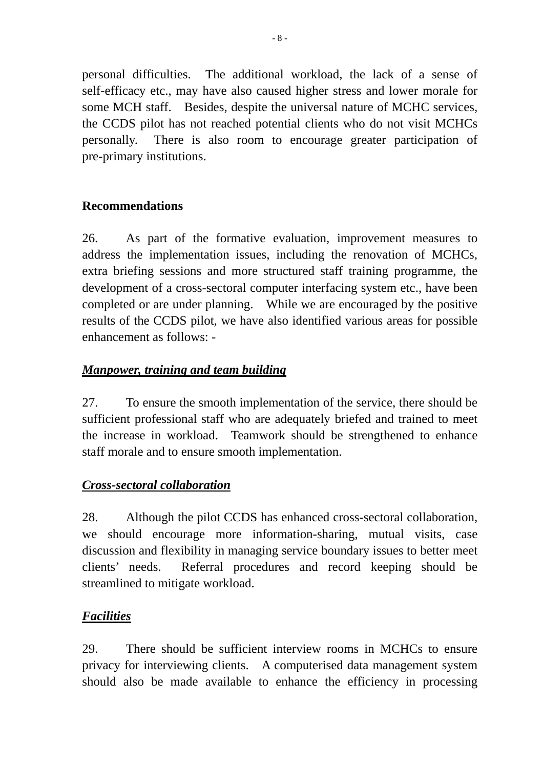personal difficulties. The additional workload, the lack of a sense of self-efficacy etc., may have also caused higher stress and lower morale for some MCH staff. Besides, despite the universal nature of MCHC services, the CCDS pilot has not reached potential clients who do not visit MCHCs personally. There is also room to encourage greater participation of pre-primary institutions.

## **Recommendations**

26. As part of the formative evaluation, improvement measures to address the implementation issues, including the renovation of MCHCs, extra briefing sessions and more structured staff training programme, the development of a cross-sectoral computer interfacing system etc., have been completed or are under planning. While we are encouraged by the positive results of the CCDS pilot, we have also identified various areas for possible enhancement as follows: -

## *Manpower, training and team building*

27. To ensure the smooth implementation of the service, there should be sufficient professional staff who are adequately briefed and trained to meet the increase in workload. Teamwork should be strengthened to enhance staff morale and to ensure smooth implementation.

## *Cross-sectoral collaboration*

28. Although the pilot CCDS has enhanced cross-sectoral collaboration, we should encourage more information-sharing, mutual visits, case discussion and flexibility in managing service boundary issues to better meet clients' needs. Referral procedures and record keeping should be streamlined to mitigate workload.

## *Facilities*

29. There should be sufficient interview rooms in MCHCs to ensure privacy for interviewing clients. A computerised data management system should also be made available to enhance the efficiency in processing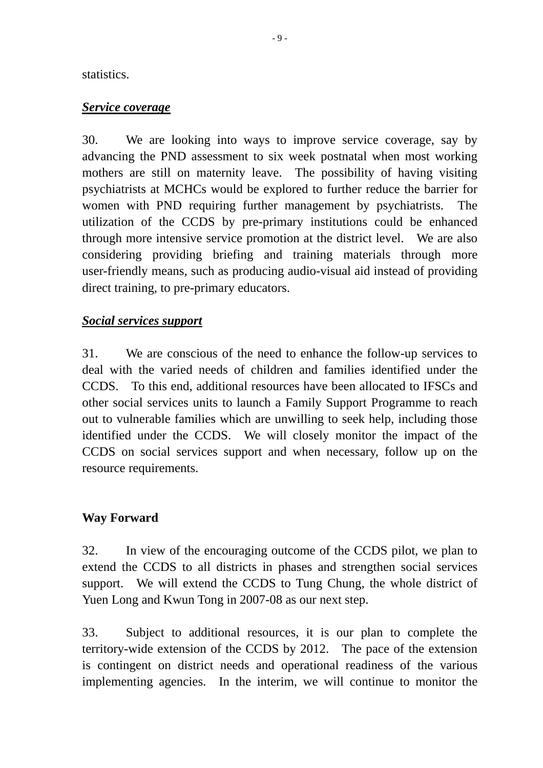#### statistics.

#### *Service coverage*

30. We are looking into ways to improve service coverage, say by advancing the PND assessment to six week postnatal when most working mothers are still on maternity leave. The possibility of having visiting psychiatrists at MCHCs would be explored to further reduce the barrier for women with PND requiring further management by psychiatrists. The utilization of the CCDS by pre-primary institutions could be enhanced through more intensive service promotion at the district level. We are also considering providing briefing and training materials through more user-friendly means, such as producing audio-visual aid instead of providing direct training, to pre-primary educators.

### *Social services support*

31. We are conscious of the need to enhance the follow-up services to deal with the varied needs of children and families identified under the CCDS. To this end, additional resources have been allocated to IFSCs and other social services units to launch a Family Support Programme to reach out to vulnerable families which are unwilling to seek help, including those identified under the CCDS. We will closely monitor the impact of the CCDS on social services support and when necessary, follow up on the resource requirements.

## **Way Forward**

32. In view of the encouraging outcome of the CCDS pilot, we plan to extend the CCDS to all districts in phases and strengthen social services support. We will extend the CCDS to Tung Chung, the whole district of Yuen Long and Kwun Tong in 2007-08 as our next step.

33. Subject to additional resources, it is our plan to complete the territory-wide extension of the CCDS by 2012. The pace of the extension is contingent on district needs and operational readiness of the various implementing agencies. In the interim, we will continue to monitor the